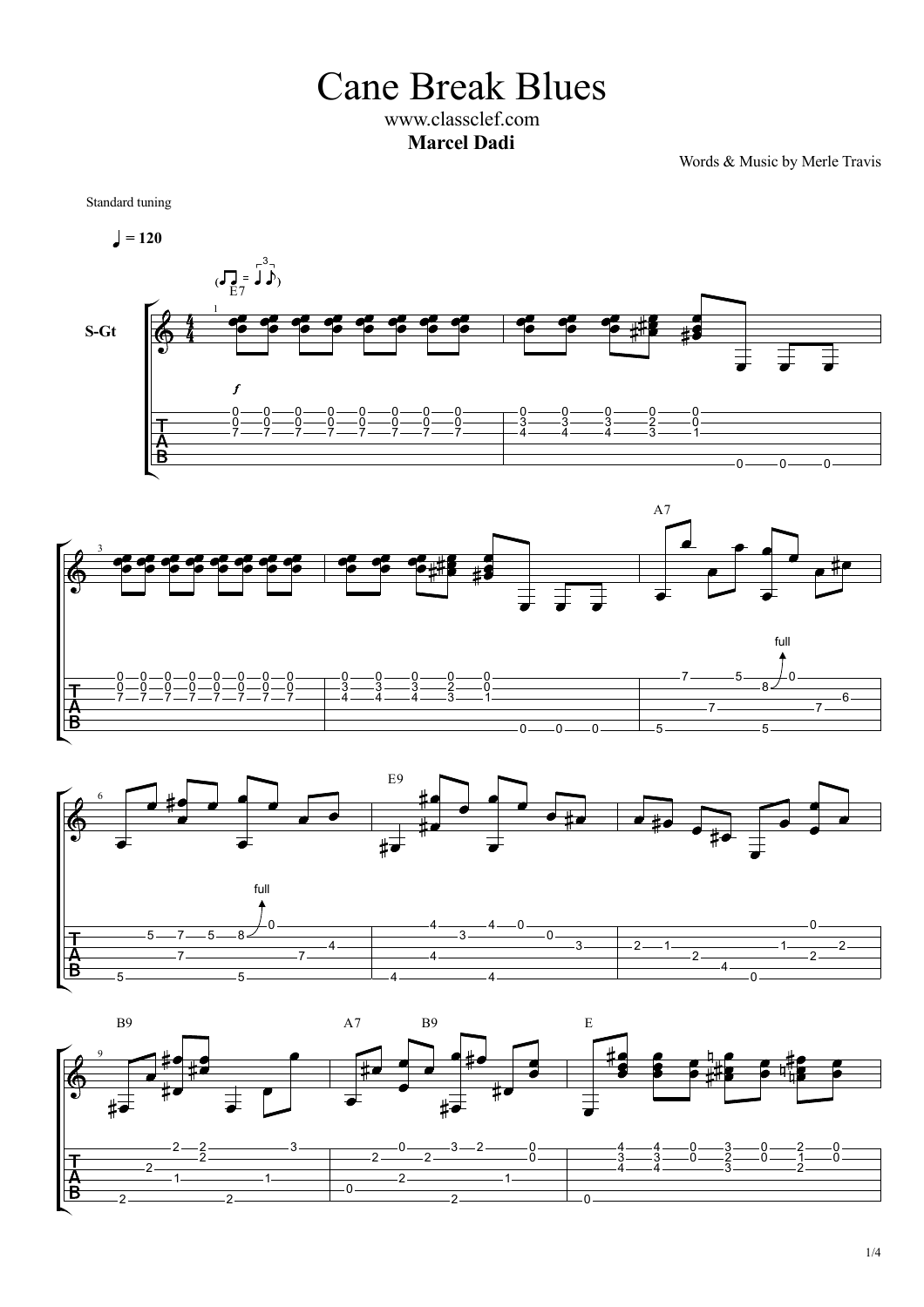Cane Break Blues www.classclef.com

**Marcel Dadi**

Words & Music by Merle Travis







 $-$  0  $-$  0  $-$  5  $-$  5  $-$  5



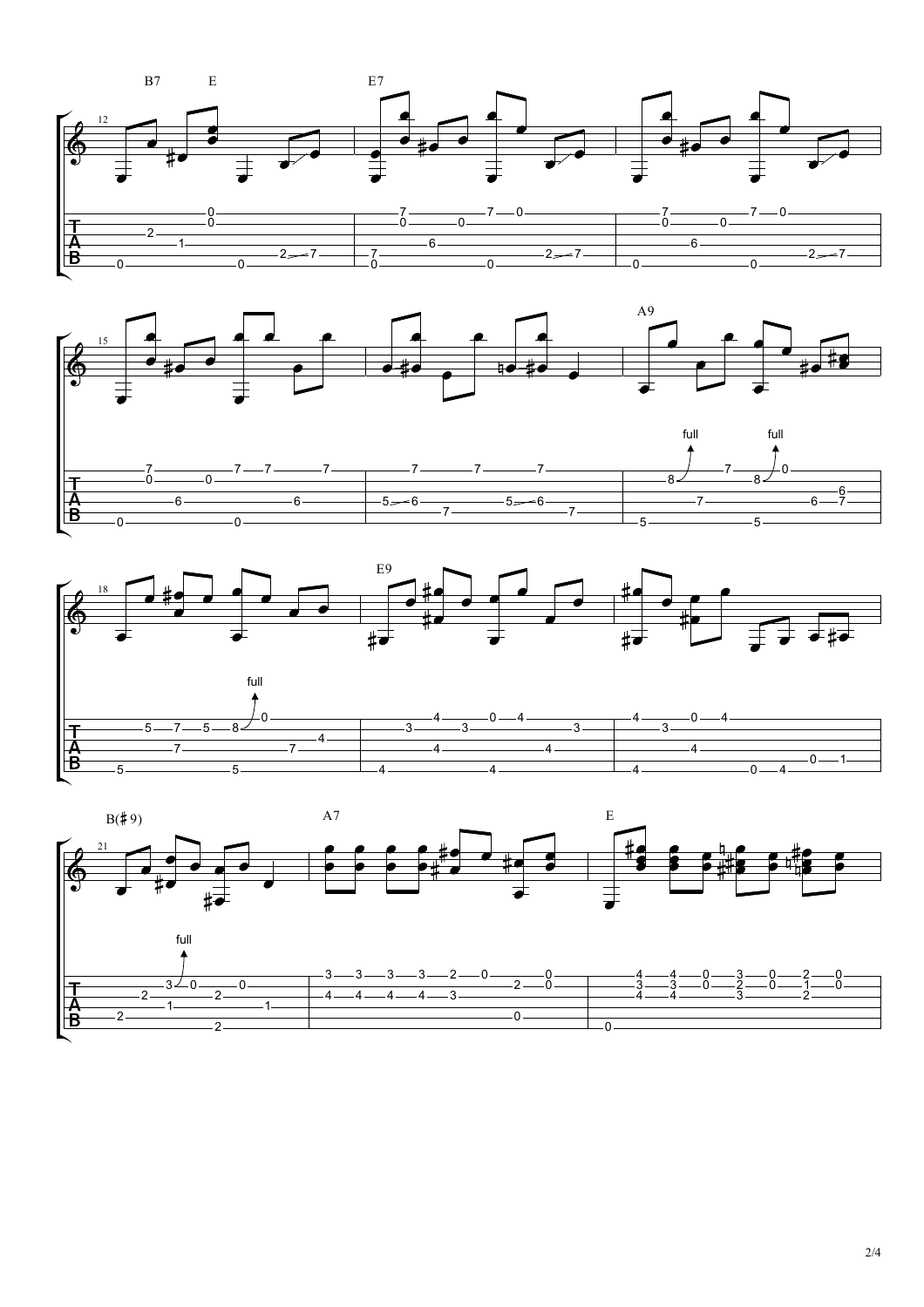







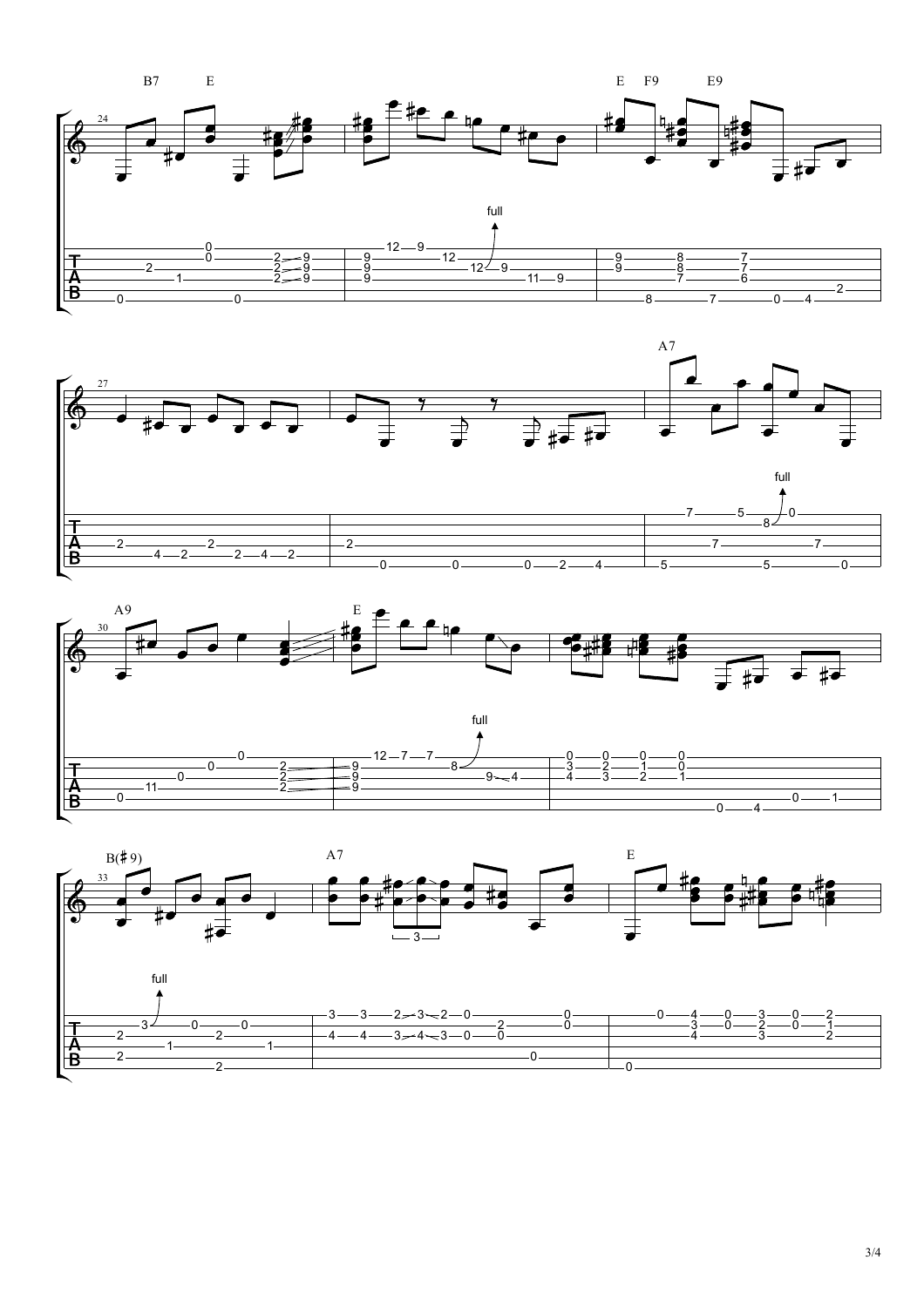